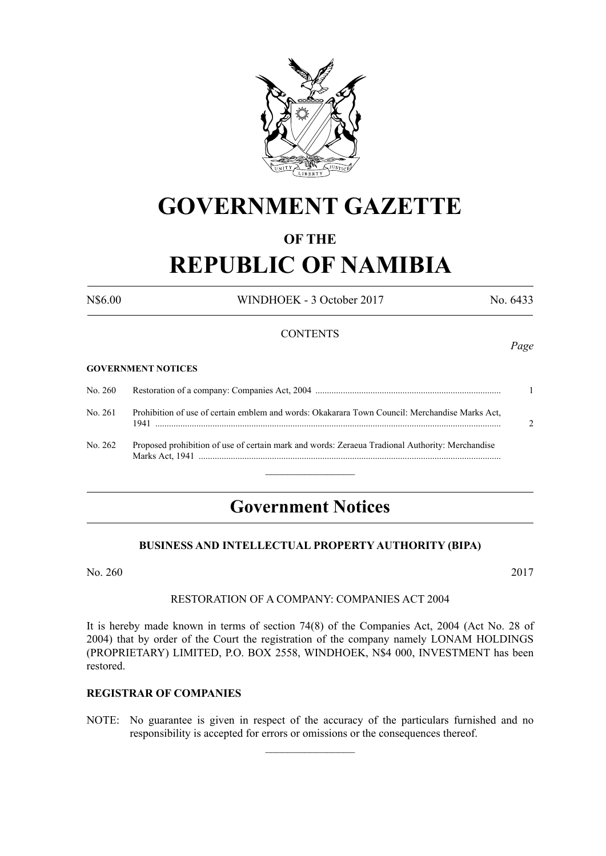

## **GOVERNMENT GAZETTE**

#### **OF THE**

# **REPUBLIC OF NAMIBIA**

N\$6.00 WINDHOEK - 3 October 2017 No. 6433

#### **CONTENTS**

#### **GOVERNMENT NOTICES**

| No. 260 |                                                                                                 |  |
|---------|-------------------------------------------------------------------------------------------------|--|
| No. 261 | Prohibition of use of certain emblem and words: Okakarara Town Council: Merchandise Marks Act,  |  |
| No. 262 | Proposed prohibition of use of certain mark and words: Zeraeua Tradional Authority: Merchandise |  |

### **Government Notices**

 $\frac{1}{2}$ 

#### **BUSINESS AND INTELLECTUAL PROPERTY AUTHORITY (BIPA)**

No. 260 2017

#### RESTORATION OF A COMPANY: COMPANIES ACT 2004

It is hereby made known in terms of section 74(8) of the Companies Act, 2004 (Act No. 28 of 2004) that by order of the Court the registration of the company namely LONAM HOLDINGS (PROPRIETARY) LIMITED, P.O. BOX 2558, WINDHOEK, N\$4 000, INVESTMENT has been restored.

#### **REGISTRAR OF COMPANIES**

NOTE: No guarantee is given in respect of the accuracy of the particulars furnished and no responsibility is accepted for errors or omissions or the consequences thereof.

 $\overline{\phantom{a}}$  , where  $\overline{\phantom{a}}$ 

*Page*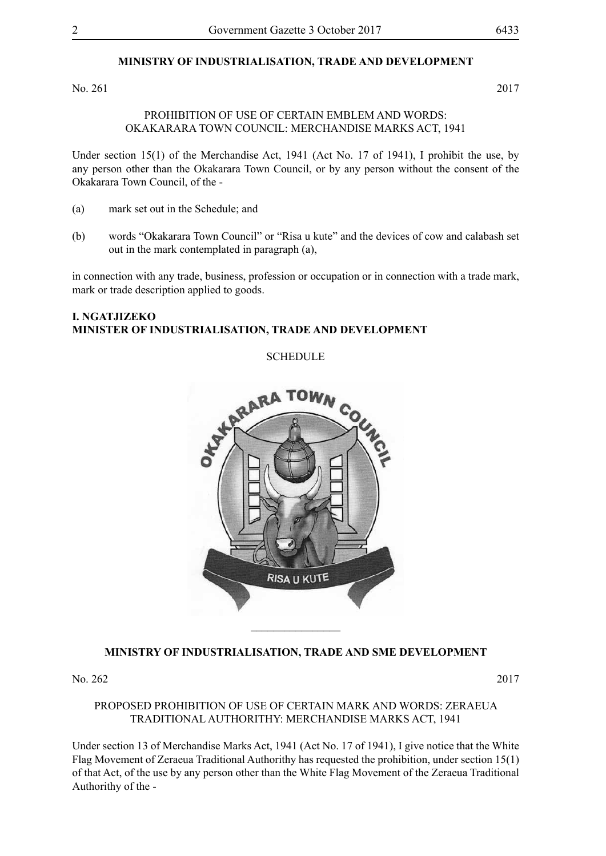#### **MINISTRY OF INDUSTRIALISATION, TRADE AND DEVELOPMENT**

No. 261 2017

#### PROHIBITION OF USE OF CERTAIN EMBLEM AND WORDS: OKAKARARA TOWN COUNCIL: MERCHANDISE MARKS ACT, 1941

Under section 15(1) of the Merchandise Act, 1941 (Act No. 17 of 1941), I prohibit the use, by any person other than the Okakarara Town Council, or by any person without the consent of the Okakarara Town Council, of the -

- (a) mark set out in the Schedule; and
- (b) words "Okakarara Town Council" or "Risa u kute" and the devices of cow and calabash set out in the mark contemplated in paragraph (a),

in connection with any trade, business, profession or occupation or in connection with a trade mark, mark or trade description applied to goods.

#### **I. Ngatjizeko Minister of Industrialisation, Trade and Development**

**SCHEDULE** 



#### **MINISTRY OF INDUSTRIALISATION, TRADE AND SME DEVELOPMENT**

No. 262 2017

PROPOSED PROHIBITION OF USE OF CERTAIN MARK AND WORDS: ZERAEUA TRADITIONAL AUTHORITHY: MERCHANDISE MARKS ACT, 1941

Under section 13 of Merchandise Marks Act, 1941 (Act No. 17 of 1941), I give notice that the White Flag Movement of Zeraeua Traditional Authorithy has requested the prohibition, under section 15(1) of that Act, of the use by any person other than the White Flag Movement of the Zeraeua Traditional Authorithy of the -